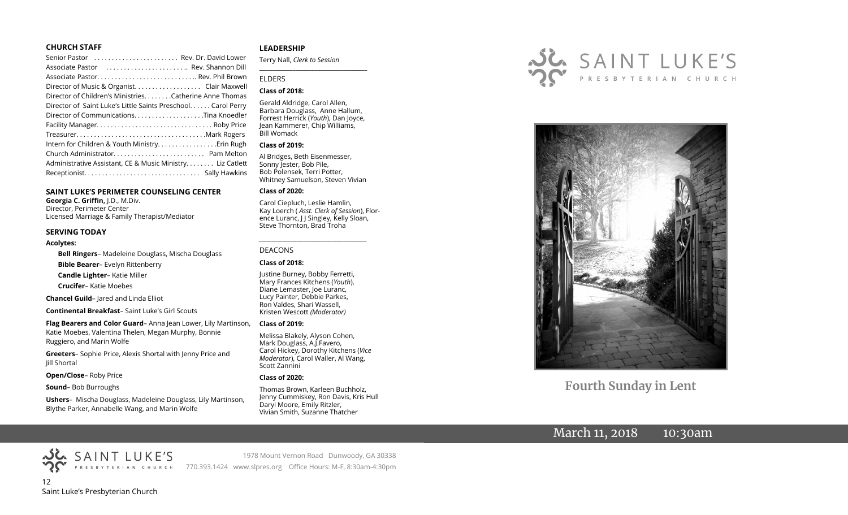#### **CHURCH STAFF**

| Senior Pastor  Rev. Dr. David Lower                          |  |
|--------------------------------------------------------------|--|
| Associate Pastor  Rev. Shannon Dill                          |  |
|                                                              |  |
| Director of Music & Organist. Clair Maxwell                  |  |
| Director of Children's Ministries. Catherine Anne Thomas     |  |
| Director of Saint Luke's Little Saints Preschool Carol Perry |  |
| Director of CommunicationsTina Knoedler                      |  |
|                                                              |  |
|                                                              |  |
| Intern for Children & Youth MinistryErin Rugh                |  |
|                                                              |  |
| Administrative Assistant, CE & Music Ministry Liz Catlett    |  |
|                                                              |  |
|                                                              |  |

#### **SAINT LUKE'S PERIMETER COUNSELING CENTER**

**Georgia C. Griffin,** J.D., M.Div. Director, Perimeter Center Licensed Marriage & Family Therapist/Mediator

#### **SERVING TODAY**

#### **Acolytes:**

**Bell Ringers**– Madeleine Douglass, Mischa Douglass **Bible Bearer**– Evelyn Rittenberry **Candle Lighter**– Katie Miller **Crucifer**– Katie Moebes

**Chancel Guild**– Jared and Linda Elliot

**Continental Breakfast**– Saint Luke's Girl Scouts

**Flag Bearers and Color Guard**– Anna Jean Lower, Lily Martinson, Katie Moebes, Valentina Thelen, Megan Murphy, Bonnie Ruggiero, and Marin Wolfe

**Greeters**– Sophie Price, Alexis Shortal with Jenny Price and Jill Shortal

**Open/Close**– Roby Price

**Sound**– Bob Burroughs

**Ushers**– Mischa Douglass, Madeleine Douglass, Lily Martinson, Blythe Parker, Annabelle Wang, and Marin Wolfe

#### **LEADERSHIP**

Terry Nall, *Clerk to Session* 

#### ELDERS

#### **Class of 2018:**

Gerald Aldridge, Carol Allen, Barbara Douglass, Anne Hallum, Forrest Herrick (*Youth*), Dan Joyce, Jean Kammerer, Chip Williams, Bill Womack

**\_\_\_\_\_\_\_\_\_\_\_\_\_\_\_\_\_\_\_\_\_\_\_\_\_\_\_\_\_\_\_\_\_\_\_\_\_\_\_**

#### **Class of 2019:**

Al Bridges, Beth Eisenmesser, Sonny Jester, Bob Pile, Bob Polensek, Terri Potter, Whitney Samuelson, Steven Vivian

#### **Class of 2020:**

Carol Ciepluch, Leslie Hamlin, Kay Loerch ( *Asst. Clerk of Session*), Florence Luranc, J J Singley, Kelly Sloan, Steve Thornton, Brad Troha

*\_\_\_\_\_\_\_\_\_\_\_\_\_\_\_\_\_\_\_\_\_\_\_\_\_\_\_\_\_\_\_\_\_\_\_\_\_*

#### DEACONS

#### **Class of 2018:**

Justine Burney, Bobby Ferretti, Mary Frances Kitchens (*Youth*), Diane Lemaster, Joe Luranc, Lucy Painter, Debbie Parkes, Ron Valdes, Shari Wassell, Kristen Wescott *(Moderator)*

#### **Class of 2019:**

Melissa Blakely, Alyson Cohen, Mark Douglass, A.J.Favero, Carol Hickey, Dorothy Kitchens (*Vice Moderator*), Carol Waller, Al Wang, Scott Zannini

#### **Class of 2020:**

770.393.1424 www.slpres.org Office Hours: M-F, 8:30am-4:30pm

Thomas Brown, Karleen Buchholz, Jenny Cummiskey, Ron Davis, Kris Hull Daryl Moore, Emily Ritzler, Vivian Smith, Suzanne Thatcher

1978 Mount Vernon Road Dunwoody, GA 30338





**Fourth Sunday in Lent**

## March 11, 2018 10:30am

12 Saint Luke's Presbyterian Church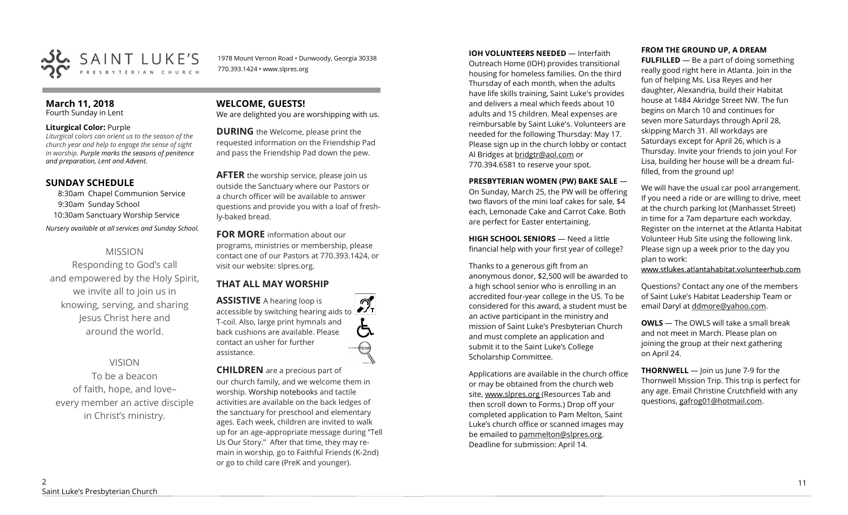

1978 Mount Vernon Road • Dunwoody, Georgia 30338 770.393.1424 • www.slpres.org

#### **March 11, 2018**  Fourth Sunday in Lent

**Liturgical Color:** Purple

*Liturgical colors can orient us to the season of the church year and help to engage the sense of sight in worship. Purple marks the seasons of penitence and preparation, Lent and Advent.* 

## **SUNDAY SCHEDULE**

8:30am Chapel Communion Service 9:30am Sunday School 10:30am Sanctuary Worship Service *Nursery available at all services and Sunday School.* 

## MISSION

Responding to God's call and empowered by the Holy Spirit, we invite all to join us in knowing, serving, and sharing Jesus Christ here and around the world.

## VISION

To be a beacon of faith, hope, and love– every member an active disciple in Christ's ministry.

## **WELCOME, GUESTS!**

We are delighted you are worshipping with us.

**DURING** the Welcome, please print the requested information on the Friendship Pad and pass the Friendship Pad down the pew.

**AFTER** the worship service, please join us outside the Sanctuary where our Pastors or a church officer will be available to answer questions and provide you with a loaf of freshly-baked bread.

**FOR MORE** information about our programs, ministries or membership, please contact one of our Pastors at 770.393.1424, or visit our website: slpres.org.

## **THAT ALL MAY WORSHIP**

**ASSISTIVE** A hearing loop is  $\mathcal{D}_{\mathrm{r}}$ accessible by switching hearing aids to T-coil. Also, large print hymnals and (气 back cushions are available. Please contact an usher for further assistance.

**CHILDREN** are a precious part of our church family, and we welcome them in worship. Worship notebooks and tactile activities are available on the back ledges of the sanctuary for preschool and elementary ages. Each week, children are invited to walk up for an age-appropriate message during "Tell Us Our Story." After that time, they may remain in worship, go to Faithful Friends (K-2nd) or go to child care (PreK and younger).

#### **IOH VOLUNTEERS NEEDED** — Interfaith

Outreach Home (IOH) provides transitional housing for homeless families. On the third Thursday of each month, when the adults have life skills training, Saint Luke's provides and delivers a meal which feeds about 10 adults and 15 children. Meal expenses are reimbursable by Saint Luke's. Volunteers are needed for the following Thursday: May 17. Please sign up in the church lobby or contact Al Bridges at [bridgtr@aol.com](mailto:bridgtr@aol.com) or 770.394.6581 to reserve your spot.

#### **PRESBYTERIAN WOMEN (PW) BAKE SALE** —

On Sunday, March 25, the PW will be offering two flavors of the mini loaf cakes for sale, \$4 each, Lemonade Cake and Carrot Cake. Both are perfect for Easter entertaining.

**HIGH SCHOOL SENIORS** — Need a little financial help with your first year of college?

Thanks to a generous gift from an anonymous donor, \$2,500 will be awarded to a high school senior who is enrolling in an accredited four-year college in the US. To be considered for this award, a student must be an active participant in the ministry and mission of Saint Luke's Presbyterian Church and must complete an application and submit it to the Saint Luke's College Scholarship Committee.

Applications are available in the church office or may be obtained from the church web site, www.slpres.org (Resources Tab and then scroll down to Forms.) Drop off your completed application to Pam Melton, Saint Luke's church office or scanned images may be emailed to [pammelton@slpres.org.](mailto:pammelton@slpres.org)  Deadline for submission: April 14.

#### **FROM THE GROUND UP, A DREAM**

**FULFILLED** — Be a part of doing something really good right here in Atlanta. Join in the fun of helping Ms. Lisa Reyes and her daughter, Alexandria, build their Habitat house at 1484 Akridge Street NW. The fun begins on March 10 and continues for seven more Saturdays through April 28, skipping March 31. All workdays are Saturdays except for April 26, which is a Thursday. Invite your friends to join you! For Lisa, building her house will be a dream fulfilled, from the ground up!

We will have the usual car pool arrangement. If you need a ride or are willing to drive, meet at the church parking lot (Manhasset Street) in time for a 7am departure each workday. Register on the internet at the Atlanta Habitat Volunteer Hub Site using the following link. Please sign up a week prior to the day you plan to work:

www.stlukes.atlantahabitat.volunteerhub.com

Questions? Contact any one of the members of Saint Luke's Habitat Leadership Team or email Daryl at ddmore@yahoo.com.

**OWLS** — The OWLS will take a small break and not meet in March. Please plan on joining the group at their next gathering on April 24.

**THORNWELL** — Join us June 7-9 for the Thornwell Mission Trip. This trip is perfect for any age. Email Christine Crutchfield with any questions, gafrog01@hotmail.com.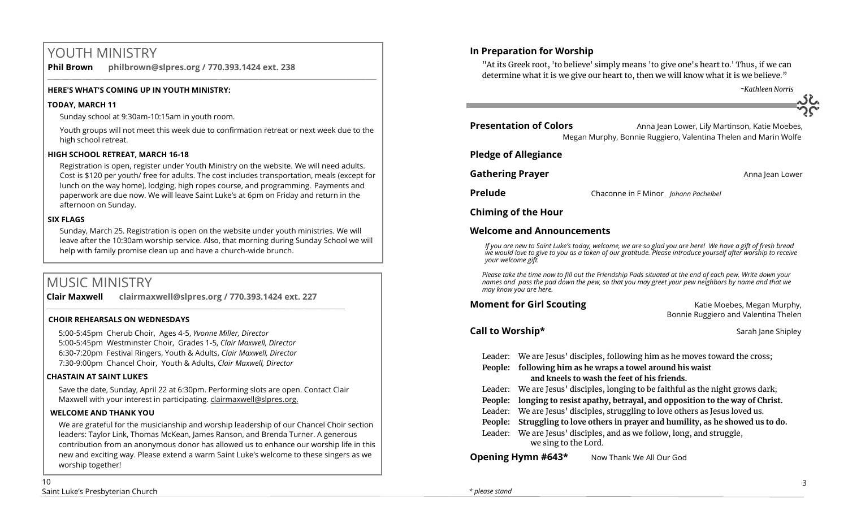# YOUTH MINISTRY

**Phil Brown philbrown@slpres.org / 770.393.1424 ext. 238**   $\_$  ,  $\_$  ,  $\_$  ,  $\_$  ,  $\_$  ,  $\_$  ,  $\_$  ,  $\_$  ,  $\_$  ,  $\_$  ,  $\_$  ,  $\_$  ,  $\_$  ,  $\_$  ,  $\_$  ,  $\_$  ,  $\_$  ,  $\_$  ,  $\_$  ,  $\_$ 

### **HERE'S WHAT'S COMING UP IN YOUTH MINISTRY:**

#### **TODAY, MARCH 11**

Sunday school at 9:30am-10:15am in youth room.

Youth groups will not meet this week due to confirmation retreat or next week due to the high school retreat.

## **HIGH SCHOOL RETREAT, MARCH 16-18**

Registration is open, register under Youth Ministry on the website. We will need adults. Cost is \$120 per youth/ free for adults. The cost includes transportation, meals (except for lunch on the way home), lodging, high ropes course, and programming. Payments and paperwork are due now. We will leave Saint Luke's at 6pm on Friday and return in the afternoon on Sunday.

## **SIX FLAGS**

Sunday, March 25. Registration is open on the website under youth ministries. We will leave after the 10:30am worship service. Also, that morning during Sunday School we will help with family promise clean up and have a church-wide brunch.

# MUSIC MINISTRY

**Clair Maxwell clairmaxwell@slpres.org / 770.393.1424 ext. 227**   $\_$  , and the set of the set of the set of the set of the set of the set of the set of the set of the set of the set of the set of the set of the set of the set of the set of the set of the set of the set of the set of th

## **CHOIR REHEARSALS ON WEDNESDAYS**

5:00-5:45pm Cherub Choir, Ages 4-5, *Yvonne Miller, Director*  5:00-5:45pm Westminster Choir, Grades 1-5, *Clair Maxwell, Director*  6:30-7:20pm Festival Ringers, Youth & Adults, *Clair Maxwell, Director*  7:30-9:00pm Chancel Choir, Youth & Adults, *Clair Maxwell, Director* 

## **CHASTAIN AT SAINT LUKE'S**

Save the date, Sunday, April 22 at 6:30pm. Performing slots are open. Contact Clair Maxwell with your interest in participating. clairmaxwell@slpres.org.

## **WELCOME AND THANK YOU**

We are grateful for the musicianship and worship leadership of our Chancel Choir section leaders: Taylor Link, Thomas McKean, James Ranson, and Brenda Turner. A generous contribution from an anonymous donor has allowed us to enhance our worship life in this new and exciting way. Please extend a warm Saint Luke's welcome to these singers as we worship together!

## **In Preparation for Worship**

"At its Greek root, 'to believe' simply means 'to give one's heart to.' Thus, if we can determine what it is we give our heart to, then we will know what it is we believe."

 *~Kathleen Norris*

**Presentation of Colors Anna Jean Lower, Lily Martinson, Katie Moebes,** Megan Murphy, Bonnie Ruggiero, Valentina Thelen and Marin Wolfe

## **Pledge of Allegiance**

**Gathering Prayer and Community Community Community Community Community Community Community Community Community Community Community Community Community Community Community Community Community Community Community Community** 

**Prelude** Chaconne in F Minor *Johann Pachelbel*

## **Chiming of the Hour**

## **Welcome and Announcements**

*If you are new to Saint Luke's today, welcome, we are so glad you are here! We have a gift of fresh bread we would love to give to you as a token of our gratitude. Please introduce yourself after worship to receive your welcome gift.*

*Please take the time now to fill out the Friendship Pads situated at the end of each pew. Write down your names and pass the pad down the pew, so that you may greet your pew neighbors by name and that we may know you are here.*

**Moment for Girl Scouting Katie Moebes, Megan Murphy, Katie Moebes, Megan Murphy,** Bonnie Ruggiero and Valentina Thelen

## **Call to Worship\*** The Shipley Sarah Jane Shipley Sarah Jane Shipley

- Leader: We are Jesus' disciples, following him as he moves toward the cross;
- **People: following him as he wraps a towel around his waist and kneels to wash the feet of his friends.**

Leader: We are Jesus' disciples, longing to be faithful as the night grows dark;

- **People: longing to resist apathy, betrayal, and opposition to the way of Christ.**
- Leader: We are Jesus' disciples, struggling to love others as Jesus loved us.

**People: Struggling to love others in prayer and humility, as he showed us to do.**

Leader: We are Jesus' disciples, and as we follow, long, and struggle, we sing to the Lord.

**Opening Hymn #643\*** Now Thank We All Our God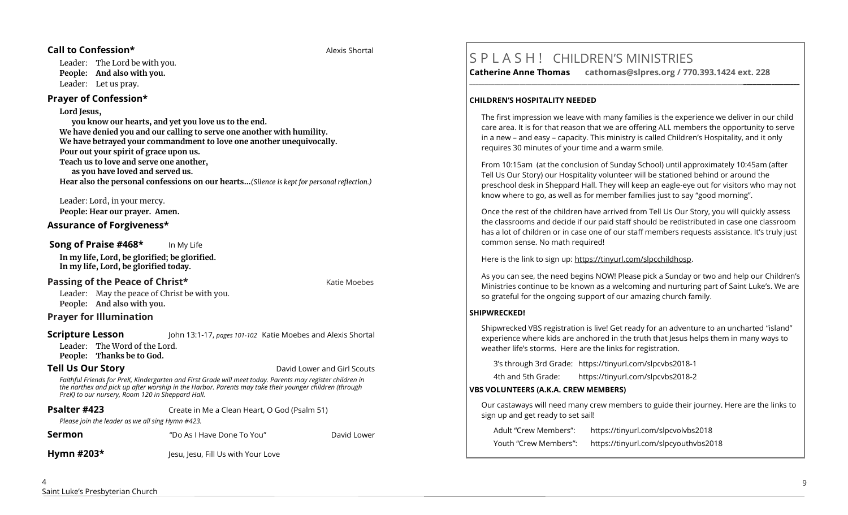#### **Call to Confession\*** Alexis Shortal Alexis Shortal Alexis Shortal Alexis Shortal Alexis Shortal Alexis Shortal Alexis Shortal Alexis Shortal Alexis Shortal Alexis Shortal Alexis Shortal Alexis Shortal Alexis Shortal Alexi

Leader: The Lord be with you. **People: And also with you.** Leader: Let us pray.

## **Prayer of Confession\***

**Lord Jesus,** 

**you know our hearts, and yet you love us to the end. We have denied you and our calling to serve one another with humility. We have betrayed your commandment to love one another unequivocally. Pour out your spirit of grace upon us. Teach us to love and serve one another, as you have loved and served us. Hear also the personal confessions on our hearts…***(Silence is kept for personal reflection.)*

Leader: Lord, in your mercy. **People: Hear our prayer. Amen.**

## **Assurance of Forgiveness\***

### **Song of Praise #468\*** In My Life

**In my life, Lord, be glorified; be glorified. In my life, Lord, be glorified today.**

## **Passing of the Peace of Christ\* Communisty Communisty Communisty Communisty Communisty Communisty Communisty Communisty Communisty Communisty Communisty Communisty Communisty Communisty Communisty Communisty Communisty**

Leader: May the peace of Christ be with you. **People: And also with you.**

## **Prayer for Illumination**

#### **Scripture Lesson** John 13:1-17, *pages 101-102* Katie Moebes and Alexis Shortal

Leader: The Word of the Lord. **People: Thanks be to God.**

**Tell Us Our Story David Lower and Girl Scouts** 

*Faithful Friends for PreK, Kindergarten and First Grade will meet today. Parents may register children in the narthex and pick up after worship in the Harbor. Parents may take their younger children (through PreK) to our nursery, Room 120 in Sheppard Hall.* 

| Psalter #423 | Create in Me a Clean Heart, O God (Psalm 51) |
|--------------|----------------------------------------------|
|--------------|----------------------------------------------|

*Please join the leader as we all sing Hymn #423.* 

"Do As I Have Done To You" **Show David Lower** 

**Hymn #203\*** Jesu, Jesu, Fill Us with Your Love

# S P L A S H ! CHILDREN'S MINISTRIES

**Catherine Anne Thomas cathomas@slpres.org / 770.393.1424 ext. 228 \_\_\_\_\_\_\_\_\_\_\_\_\_\_\_\_\_\_\_\_\_\_\_\_\_\_\_\_\_\_\_\_\_\_\_\_\_\_\_\_\_\_\_\_\_\_\_\_\_\_\_\_\_\_\_\_\_\_\_\_\_\_\_\_\_\_\_\_\_\_\_\_\_\_\_\_\_\_\_\_\_\_\_\_\_\_\_\_\_\_\_\_\_\_\_\_\_\_\_\_\_\_\_\_\_\_** 

## **CHILDREN'S HOSPITALITY NEEDED**

The first impression we leave with many families is the experience we deliver in our child care area. It is for that reason that we are offering ALL members the opportunity to serve in a new – and easy – capacity. This ministry is called Children's Hospitality, and it only requires 30 minutes of your time and a warm smile.

From 10:15am (at the conclusion of Sunday School) until approximately 10:45am (after Tell Us Our Story) our Hospitality volunteer will be stationed behind or around the preschool desk in Sheppard Hall. They will keep an eagle-eye out for visitors who may not know where to go, as well as for member families just to say "good morning".

Once the rest of the children have arrived from Tell Us Our Story, you will quickly assess the classrooms and decide if our paid staff should be redistributed in case one classroom has a lot of children or in case one of our staff members requests assistance. It's truly just common sense. No math required!

Here is the link to sign up: https://tinyurl.com/slpcchildhosp.

As you can see, the need begins NOW! Please pick a Sunday or two and help our Children's Ministries continue to be known as a welcoming and nurturing part of Saint Luke's. We are so grateful for the ongoing support of our amazing church family.

## **SHIPWRECKED!**

Shipwrecked VBS registration is live! Get ready for an adventure to an uncharted "island" experience where kids are anchored in the truth that Jesus helps them in many ways to weather life's storms. Here are the links for registration.

3's through 3rd Grade: https://tinyurl.com/slpcvbs2018-1

4th and 5th Grade: https://tinyurl.com/slpcvbs2018-2

## **VBS VOLUNTEERS (A.K.A. CREW MEMBERS)**

Our castaways will need many crew members to guide their journey. Here are the links to sign up and get ready to set sail!

Adult "Crew Members": https://tinyurl.com/slpcvolvbs2018 Youth "Crew Members": https://tinyurl.com/slpcyouthvbs2018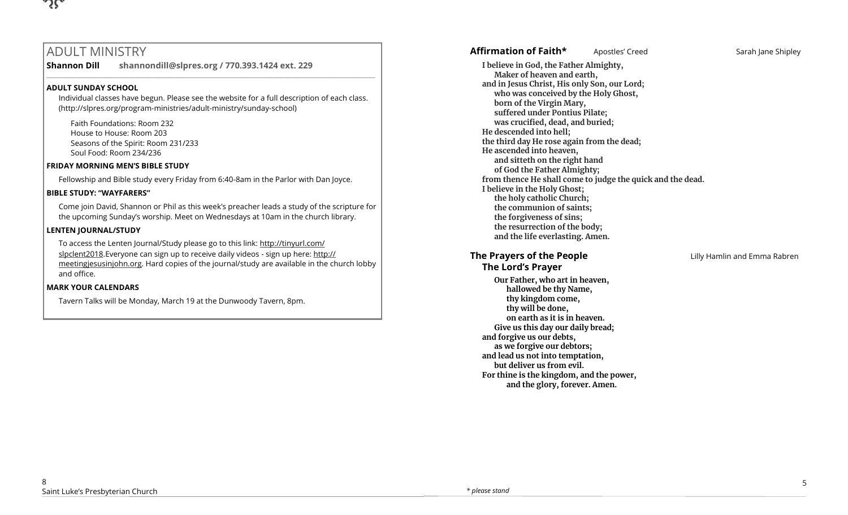

# ADULT MINISTRY

**Shannon Dill shannondill@slpres.org / 770.393.1424 ext. 229** 

#### **ADULT SUNDAY SCHOOL**

Individual classes have begun. Please see the website for a full description of each class. (http://slpres.org/program-ministries/adult-ministry/sunday-school)

 $\_$  ,  $\_$  ,  $\_$  ,  $\_$  ,  $\_$  ,  $\_$  ,  $\_$  ,  $\_$  ,  $\_$  ,  $\_$  ,  $\_$  ,  $\_$  ,  $\_$  ,  $\_$  ,  $\_$  ,  $\_$  ,  $\_$  ,  $\_$  ,  $\_$  ,  $\_$ 

Faith Foundations: Room 232 House to House: Room 203 Seasons of the Spirit: Room 231/233 Soul Food: Room 234/236

#### **FRIDAY MORNING MEN'S BIBLE STUDY**

Fellowship and Bible study every Friday from 6:40-8am in the Parlor with Dan Joyce.

#### **BIBLE STUDY: "WAYFARERS"**

Come join David, Shannon or Phil as this week's preacher leads a study of the scripture for the upcoming Sunday's worship. Meet on Wednesdays at 10am in the church library.

#### **LENTEN JOURNAL/STUDY**

To access the Lenten Journal/Study please go to this link: http://tinyurl.com/ slpclent2018. Everyone can sign up to receive daily videos - sign up here: [http://](http://meetingjesusinjohn.org/) [meetingjesusinjohn.org.](http://meetingjesusinjohn.org/) Hard copies of the journal/study are available in the church lobby and office.

#### **MARK YOUR CALENDARS**

Tavern Talks will be Monday, March 19 at the Dunwoody Tavern, 8pm.

**and in Jesus Christ, His only Son, our Lord; who was conceived by the Holy Ghost, born of the Virgin Mary, suffered under Pontius Pilate; was crucified, dead, and buried; He descended into hell; the third day He rose again from the dead; He ascended into heaven, and sitteth on the right hand of God the Father Almighty; from thence He shall come to judge the quick and the dead. I believe in the Holy Ghost; the holy catholic Church; the communion of saints; the forgiveness of sins; the resurrection of the body; and the life everlasting. Amen. The Prayers of the People Lilly Hamlin and Emma Rabren The Lord's Prayer Our Father, who art in heaven, hallowed be thy Name, thy kingdom come,** 

**I believe in God, the Father Almighty, Maker of heaven and earth,**

**thy will be done,** 

**and forgive us our debts, as we forgive our debtors; and lead us not into temptation, but deliver us from evil.** 

**on earth as it is in heaven. Give us this day our daily bread;** 

**For thine is the kingdom, and the power, and the glory, forever. Amen.** 

8